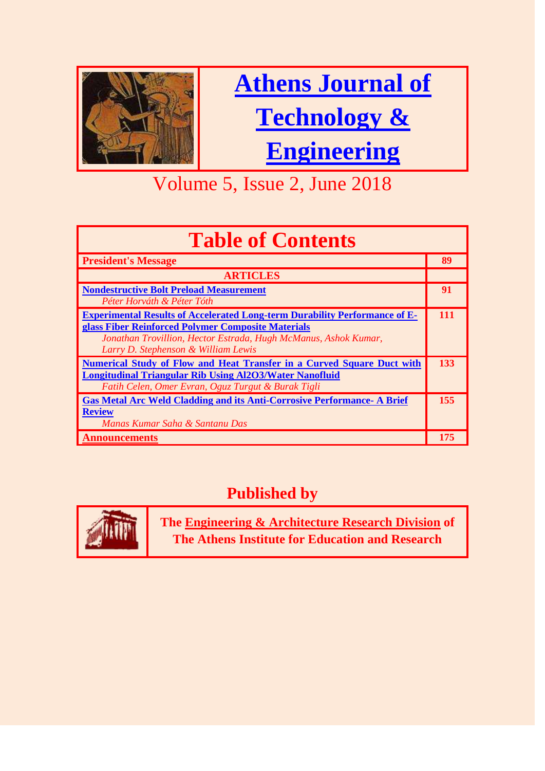

# **[Athens Journal of](http://www.athensjournals.gr/ajte)  [Technology &](http://www.athensjournals.gr/ajte)**

### **[Engineering](http://www.athensjournals.gr/ajte)**

### Volume 5, Issue 2, June 2018

| <b>Table of Contents</b>                                                                                                                                                                                                                          |            |
|---------------------------------------------------------------------------------------------------------------------------------------------------------------------------------------------------------------------------------------------------|------------|
| <b>President's Message</b>                                                                                                                                                                                                                        | 89         |
| <b>ARTICLES</b>                                                                                                                                                                                                                                   |            |
| <b>Nondestructive Bolt Preload Measurement</b><br>Péter Horváth & Péter Tóth                                                                                                                                                                      | 91         |
| <b>Experimental Results of Accelerated Long-term Durability Performance of E-</b><br>glass Fiber Reinforced Polymer Composite Materials<br>Jonathan Trovillion, Hector Estrada, Hugh McManus, Ashok Kumar,<br>Larry D. Stephenson & William Lewis | <b>111</b> |
| <b>Numerical Study of Flow and Heat Transfer in a Curved Square Duct with</b><br><b>Longitudinal Triangular Rib Using Al2O3/Water Nanofluid</b><br>Fatih Celen, Omer Evran, Oguz Turgut & Burak Tigli                                             | 133        |
| <b>Gas Metal Arc Weld Cladding and its Anti-Corrosive Performance- A Brief</b><br><b>Review</b><br>Manas Kumar Saha & Santanu Das                                                                                                                 | 155        |
| <b>Announcements</b>                                                                                                                                                                                                                              | 175        |

### **Published by**



**The [Engineering & Architecture Research Division](http://www.atiner.gr/EARD.htm) of The Athens Institute for Education and Research**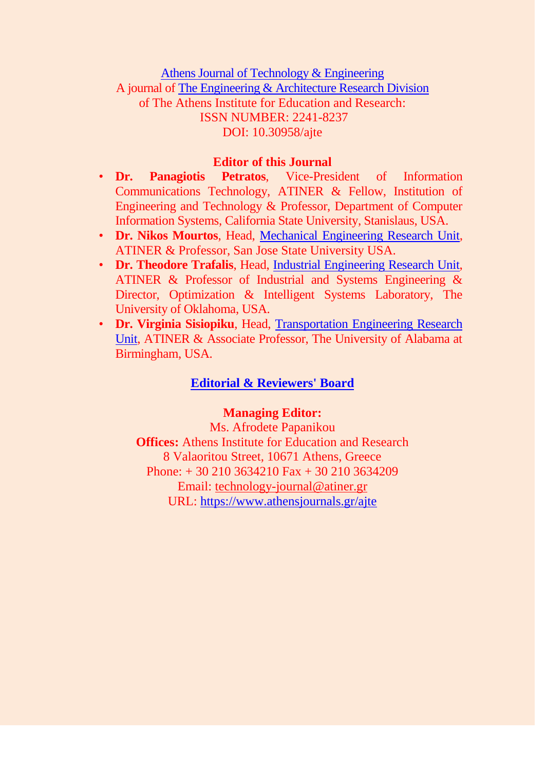[Athens Journal of Technology & Engineering](http://www.athensjournals.gr/ajte) A journal of [The Engineering & Architecture Research Division](http://www.atiner.gr/EARD.htm) of The Athens Institute for Education and Research: ISSN NUMBER: 2241-8237 DOI: 10.30958/ajte

#### **Editor of this Journal**

- **Dr. Panagiotis Petratos**, Vice-President of Information Communications Technology, ATINER & Fellow, Institution of Engineering and Technology & Professor, Department of Computer Information Systems, California State University, Stanislaus, USA.
- **Dr. Nikos Mourtos**, Head, [Mechanical Engineering Research Unit,](http://www.atiner.gr/mechanical-unit) ATINER & Professor, San Jose State University USA.
- **Dr. Theodore Trafalis**, Head, [Industrial Engineering Research Unit,](http://www.atiner.gr/INDUSTRIAL-UNIT.htm) ATINER & Professor of Industrial and Systems Engineering & Director, Optimization & Intelligent Systems Laboratory, The University of Oklahoma, USA.
- **Dr. Virginia Sisiopiku**, Head, [Transportation Engineering Research](http://www.atiner.gr/TRANSPORTATION-UNIT.htm)  [Unit,](http://www.atiner.gr/TRANSPORTATION-UNIT.htm) ATINER & Associate Professor, The University of Alabama at Birmingham, USA.

#### **[Editorial & Reviewers' Board](https://www.athensjournals.gr/ajterb)**

#### **Managing Editor:**

Ms. Afrodete Papanikou **Offices:** Athens Institute for Education and Research 8 Valaoritou Street, 10671 Athens, Greece Phone: + 30 210 3634210 Fax + 30 210 3634209 Email: [technology-journal@atiner.gr](mailto:technology-journal@atiner.gr) URL:<https://www.athensjournals.gr/ajte>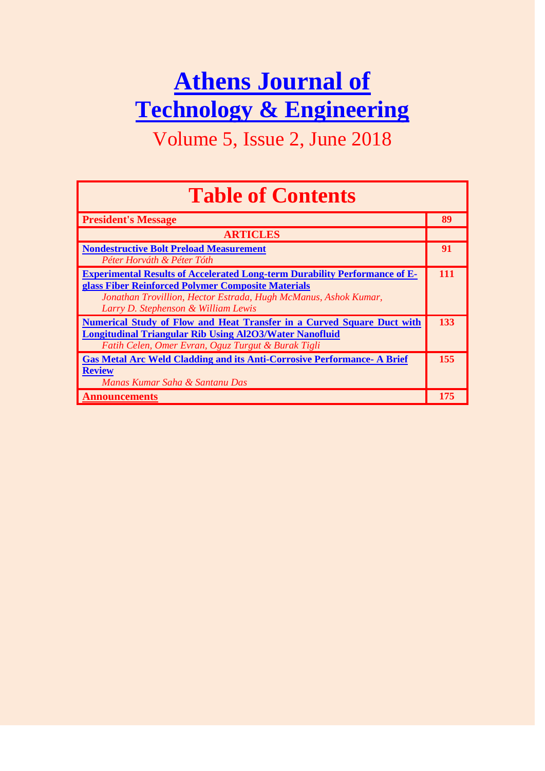## **[Athens Journal of](http://www.athensjournals.gr/ajte)  [Technology & Engineering](http://www.athensjournals.gr/ajte)**

Volume 5, Issue 2, June 2018

| <b>Table of Contents</b>                                                                                                                                                                                                                          |            |
|---------------------------------------------------------------------------------------------------------------------------------------------------------------------------------------------------------------------------------------------------|------------|
| <b>President's Message</b>                                                                                                                                                                                                                        | 89         |
| <b>ARTICLES</b>                                                                                                                                                                                                                                   |            |
| <b>Nondestructive Bolt Preload Measurement</b><br>Péter Horváth & Péter Tóth                                                                                                                                                                      | 91         |
| <b>Experimental Results of Accelerated Long-term Durability Performance of E-</b><br>glass Fiber Reinforced Polymer Composite Materials<br>Jonathan Trovillion, Hector Estrada, Hugh McManus, Ashok Kumar,<br>Larry D. Stephenson & William Lewis | <b>111</b> |
| <b>Numerical Study of Flow and Heat Transfer in a Curved Square Duct with</b><br><b>Longitudinal Triangular Rib Using Al2O3/Water Nanofluid</b><br>Fatih Celen, Omer Evran, Oguz Turgut & Burak Tigli                                             | 133        |
| <b>Gas Metal Arc Weld Cladding and its Anti-Corrosive Performance- A Brief</b><br><b>Review</b><br>Manas Kumar Saha & Santanu Das                                                                                                                 | 155        |
| <b>Announcements</b>                                                                                                                                                                                                                              | 175        |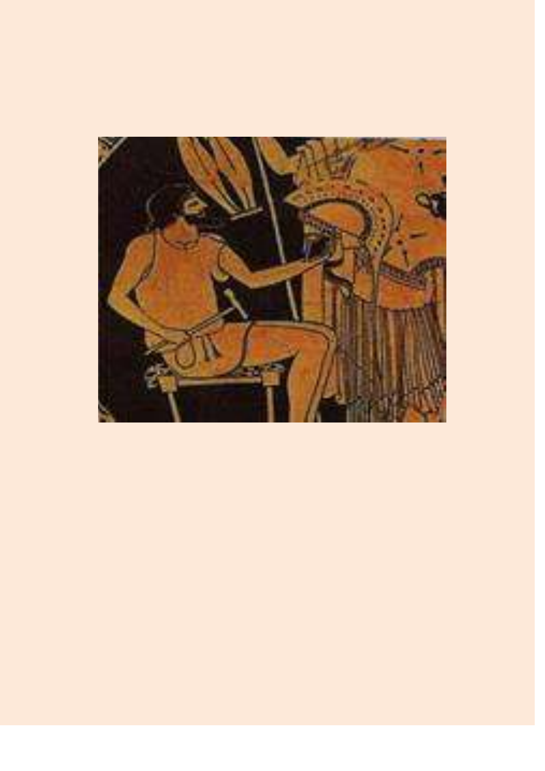